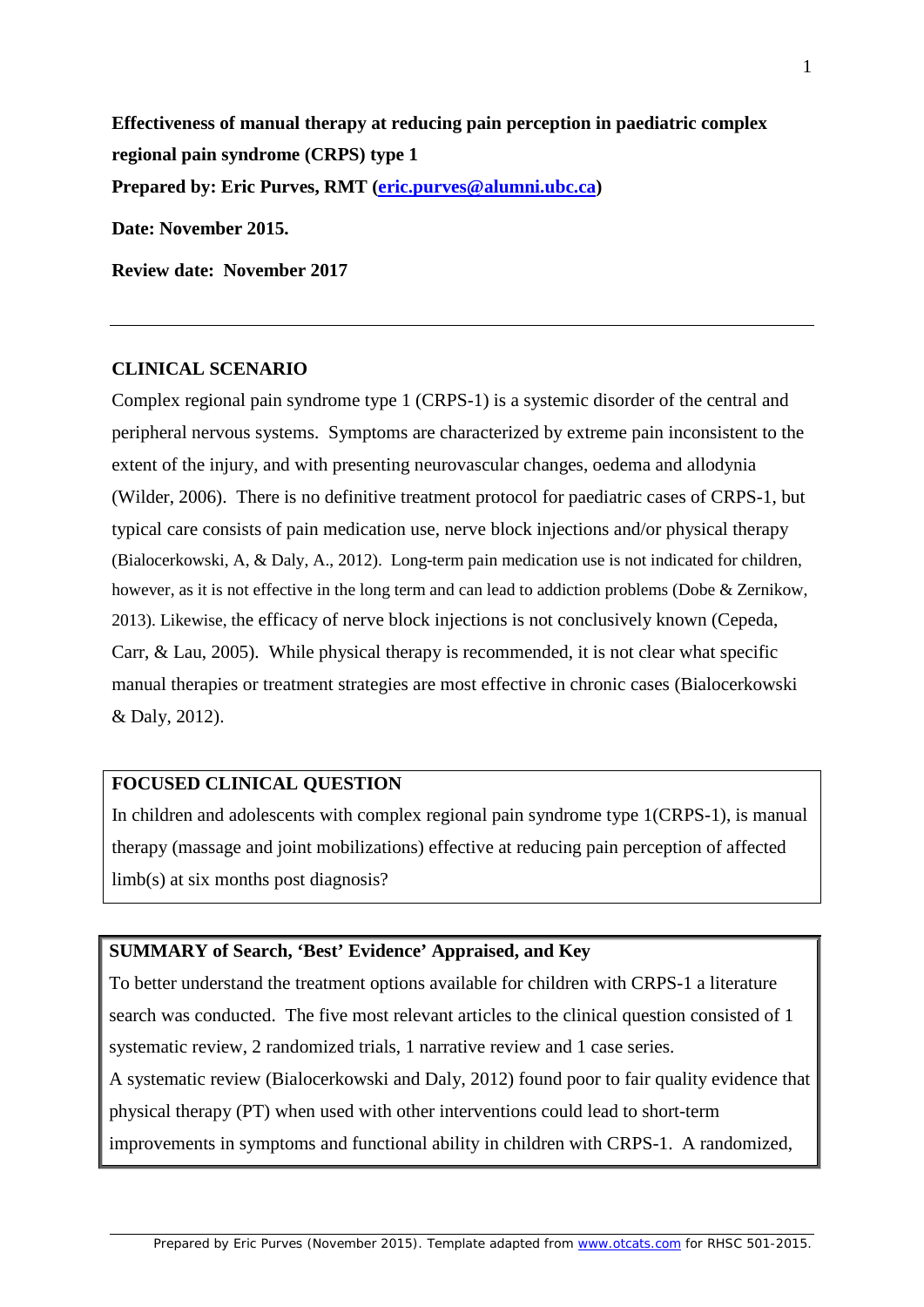**Effectiveness of manual therapy at reducing pain perception in paediatric complex regional pain syndrome (CRPS) type 1 Prepared by: Eric Purves, RMT [\(eric.purves@alumni.ubc.ca\)](mailto:eric.purves@alumni.ubc.ca) Date: November 2015.**

**Review date: November 2017**

#### **CLINICAL SCENARIO**

Complex regional pain syndrome type 1 (CRPS-1) is a systemic disorder of the central and peripheral nervous systems. Symptoms are characterized by extreme pain inconsistent to the extent of the injury, and with presenting neurovascular changes, oedema and allodynia (Wilder, 2006). There is no definitive treatment protocol for paediatric cases of CRPS-1, but typical care consists of pain medication use, nerve block injections and/or physical therapy (Bialocerkowski, A, & Daly, A., 2012). Long-term pain medication use is not indicated for children, however, as it is not effective in the long term and can lead to addiction problems (Dobe & Zernikow, 2013). Likewise, the efficacy of nerve block injections is not conclusively known (Cepeda, Carr, & Lau, 2005). While physical therapy is recommended, it is not clear what specific manual therapies or treatment strategies are most effective in chronic cases (Bialocerkowski & Daly, 2012).

#### **FOCUSED CLINICAL QUESTION**

In children and adolescents with complex regional pain syndrome type 1(CRPS-1), is manual therapy (massage and joint mobilizations) effective at reducing pain perception of affected limb(s) at six months post diagnosis?

### **SUMMARY of Search, 'Best' Evidence' Appraised, and Key**

To better understand the treatment options available for children with CRPS-1 a literature search was conducted. The five most relevant articles to the clinical question consisted of 1 systematic review, 2 randomized trials, 1 narrative review and 1 case series.

A systematic review (Bialocerkowski and Daly, 2012) found poor to fair quality evidence that physical therapy (PT) when used with other interventions could lead to short-term improvements in symptoms and functional ability in children with CRPS-1. A randomized,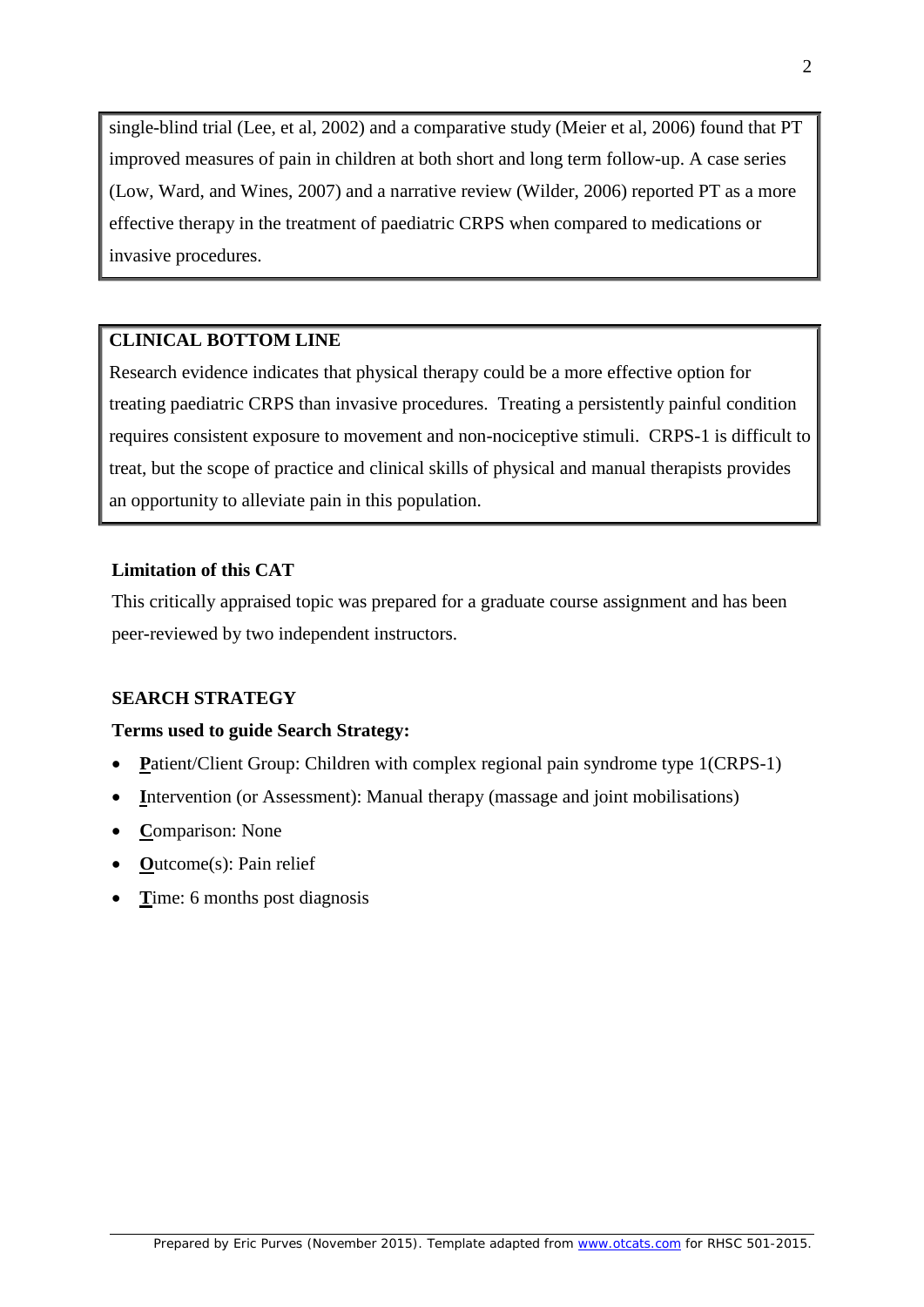single-blind trial (Lee, et al, 2002) and a comparative study (Meier et al, 2006) found that PT improved measures of pain in children at both short and long term follow-up. A case series (Low, Ward, and Wines, 2007) and a narrative review (Wilder, 2006) reported PT as a more effective therapy in the treatment of paediatric CRPS when compared to medications or invasive procedures.

# **CLINICAL BOTTOM LINE**

Research evidence indicates that physical therapy could be a more effective option for treating paediatric CRPS than invasive procedures. Treating a persistently painful condition requires consistent exposure to movement and non-nociceptive stimuli. CRPS-1 is difficult to treat, but the scope of practice and clinical skills of physical and manual therapists provides an opportunity to alleviate pain in this population.

# **Limitation of this CAT**

This critically appraised topic was prepared for a graduate course assignment and has been peer-reviewed by two independent instructors.

### **SEARCH STRATEGY**

### **Terms used to guide Search Strategy:**

- **P**atient/Client Group: Children with complex regional pain syndrome type 1(CRPS-1)
- **Intervention (or Assessment): Manual therapy (massage and joint mobilisations)**
- **C**omparison: None
- **O**utcome(s): Pain relief
- **T**ime: 6 months post diagnosis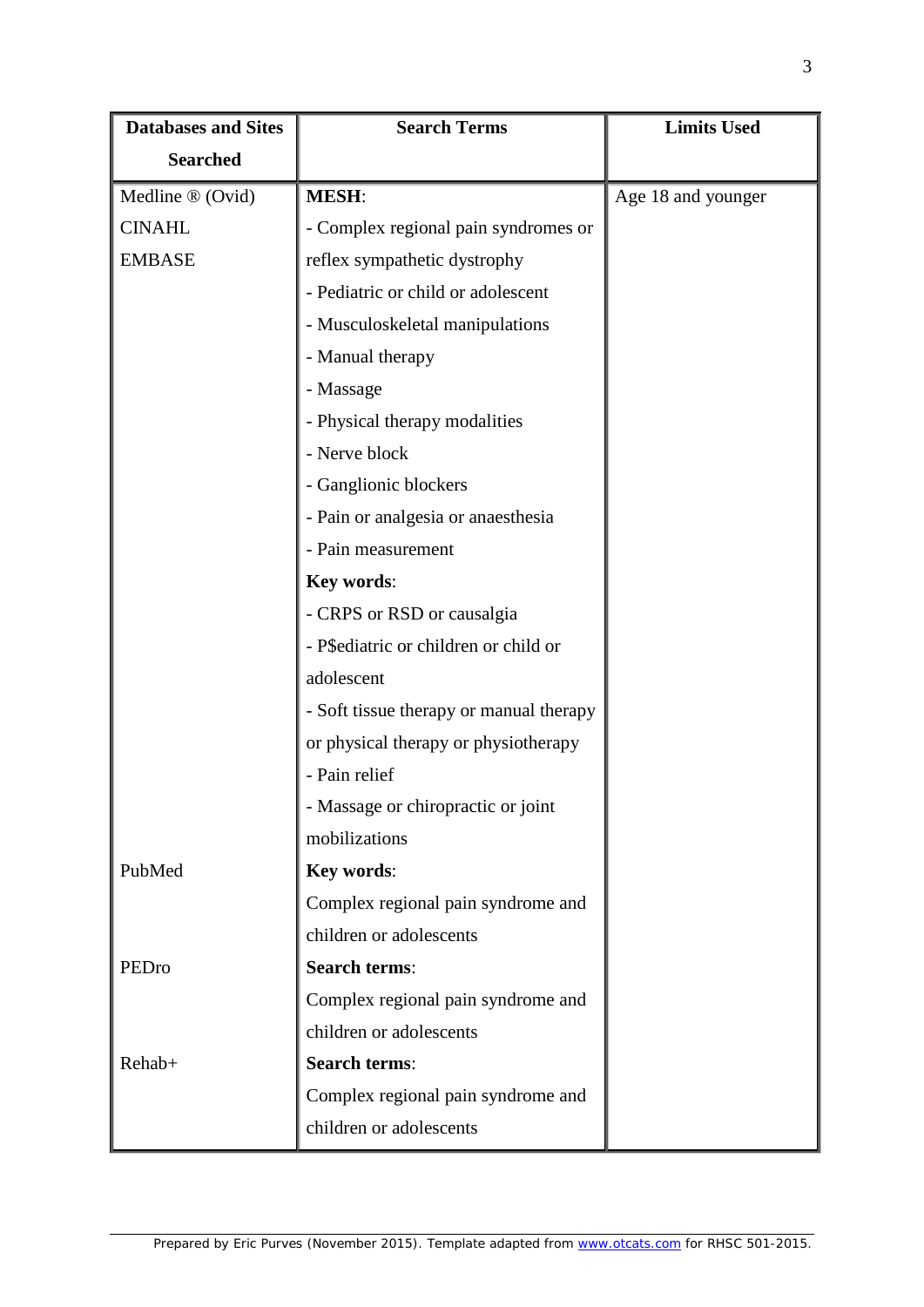| <b>Databases and Sites</b>   | <b>Search Terms</b>                     | <b>Limits Used</b> |
|------------------------------|-----------------------------------------|--------------------|
| <b>Searched</b>              |                                         |                    |
| Medline $\mathcal{D}$ (Ovid) | <b>MESH:</b>                            | Age 18 and younger |
| <b>CINAHL</b>                | - Complex regional pain syndromes or    |                    |
| <b>EMBASE</b>                | reflex sympathetic dystrophy            |                    |
|                              | - Pediatric or child or adolescent      |                    |
|                              | - Musculoskeletal manipulations         |                    |
|                              | - Manual therapy                        |                    |
|                              | - Massage                               |                    |
|                              | - Physical therapy modalities           |                    |
|                              | - Nerve block                           |                    |
|                              | - Ganglionic blockers                   |                    |
|                              | - Pain or analgesia or anaesthesia      |                    |
|                              | - Pain measurement                      |                    |
|                              | Key words:                              |                    |
|                              | - CRPS or RSD or causalgia              |                    |
|                              | - P\$ediatric or children or child or   |                    |
|                              | adolescent                              |                    |
|                              | - Soft tissue therapy or manual therapy |                    |
|                              | or physical therapy or physiotherapy    |                    |
|                              | - Pain relief                           |                    |
|                              | Massage or chiropractic or joint        |                    |
|                              | mobilizations                           |                    |
| PubMed                       | Key words:                              |                    |
|                              | Complex regional pain syndrome and      |                    |
|                              | children or adolescents                 |                    |
| PEDro                        | <b>Search terms:</b>                    |                    |
|                              | Complex regional pain syndrome and      |                    |
|                              | children or adolescents                 |                    |
| Rehab+                       | <b>Search terms:</b>                    |                    |
|                              | Complex regional pain syndrome and      |                    |
|                              | children or adolescents                 |                    |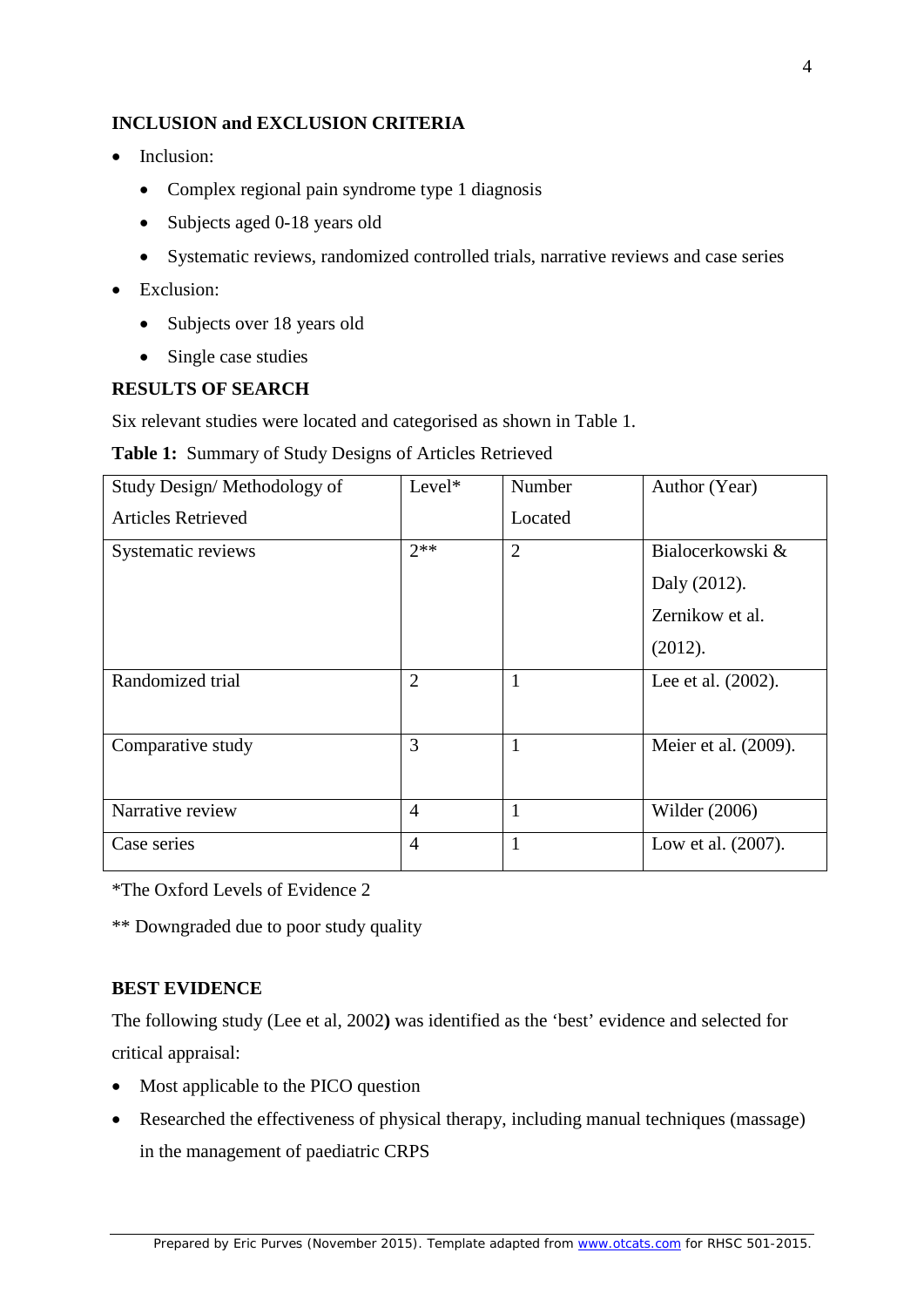### **INCLUSION and EXCLUSION CRITERIA**

- Inclusion:
	- Complex regional pain syndrome type 1 diagnosis
	- Subjects aged 0-18 years old
	- Systematic reviews, randomized controlled trials, narrative reviews and case series
- Exclusion:
	- Subjects over 18 years old
	- Single case studies

## **RESULTS OF SEARCH**

Six relevant studies were located and categorised as shown in Table 1.

**Table 1:** Summary of Study Designs of Articles Retrieved

| Study Design/Methodology of | $Level*$       | Number         | Author (Year)        |
|-----------------------------|----------------|----------------|----------------------|
| <b>Articles Retrieved</b>   |                | Located        |                      |
| Systematic reviews          | $2**$          | $\overline{2}$ | Bialocerkowski &     |
|                             |                |                | Daly (2012).         |
|                             |                |                | Zernikow et al.      |
|                             |                |                | (2012).              |
| Randomized trial            | $\overline{2}$ | 1              | Lee et al. (2002).   |
| Comparative study           | 3              | $\mathbf{1}$   | Meier et al. (2009). |
| Narrative review            | $\overline{4}$ | 1              | Wilder $(2006)$      |
| Case series                 | $\overline{4}$ | $\mathbf{1}$   | Low et al. (2007).   |

\*The Oxford Levels of Evidence 2

\*\* Downgraded due to poor study quality

# **BEST EVIDENCE**

The following study (Lee et al, 2002**)** was identified as the 'best' evidence and selected for critical appraisal:

- Most applicable to the PICO question
- Researched the effectiveness of physical therapy, including manual techniques (massage) in the management of paediatric CRPS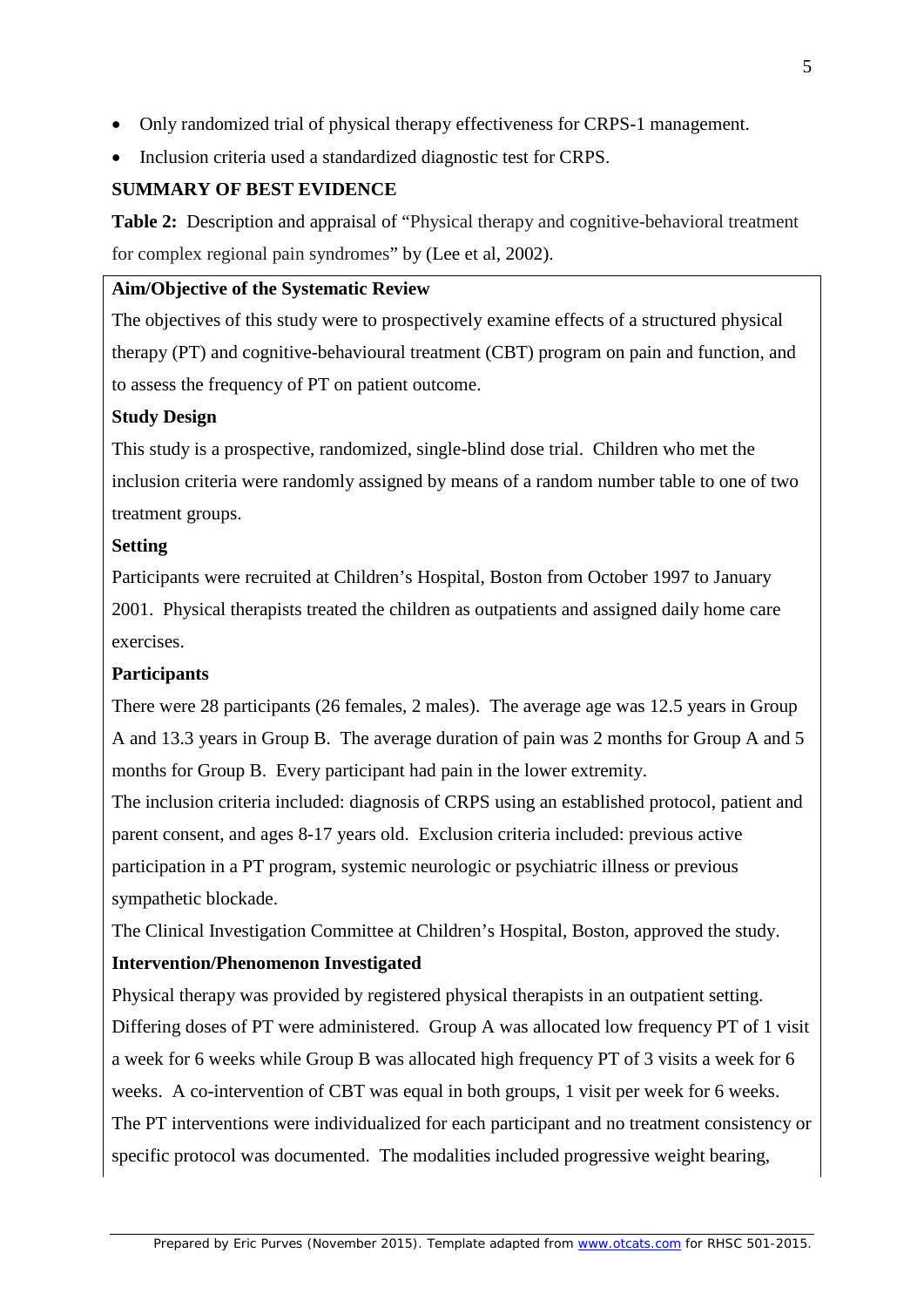- Only randomized trial of physical therapy effectiveness for CRPS-1 management.
- Inclusion criteria used a standardized diagnostic test for CRPS.

# **SUMMARY OF BEST EVIDENCE**

**Table 2:** Description and appraisal of "Physical therapy and cognitive-behavioral treatment for complex regional pain syndromes" by (Lee et al, 2002).

### **Aim/Objective of the Systematic Review**

The objectives of this study were to prospectively examine effects of a structured physical therapy (PT) and cognitive-behavioural treatment (CBT) program on pain and function, and to assess the frequency of PT on patient outcome.

## **Study Design**

This study is a prospective, randomized, single-blind dose trial. Children who met the inclusion criteria were randomly assigned by means of a random number table to one of two treatment groups.

## **Setting**

Participants were recruited at Children's Hospital, Boston from October 1997 to January 2001. Physical therapists treated the children as outpatients and assigned daily home care exercises.

# **Participants**

There were 28 participants (26 females, 2 males). The average age was 12.5 years in Group A and 13.3 years in Group B. The average duration of pain was 2 months for Group A and 5 months for Group B. Every participant had pain in the lower extremity.

The inclusion criteria included: diagnosis of CRPS using an established protocol, patient and parent consent, and ages 8-17 years old. Exclusion criteria included: previous active participation in a PT program, systemic neurologic or psychiatric illness or previous sympathetic blockade.

The Clinical Investigation Committee at Children's Hospital, Boston, approved the study.

# **Intervention/Phenomenon Investigated**

Physical therapy was provided by registered physical therapists in an outpatient setting. Differing doses of PT were administered. Group A was allocated low frequency PT of 1 visit a week for 6 weeks while Group B was allocated high frequency PT of 3 visits a week for 6 weeks. A co-intervention of CBT was equal in both groups, 1 visit per week for 6 weeks. The PT interventions were individualized for each participant and no treatment consistency or specific protocol was documented. The modalities included progressive weight bearing,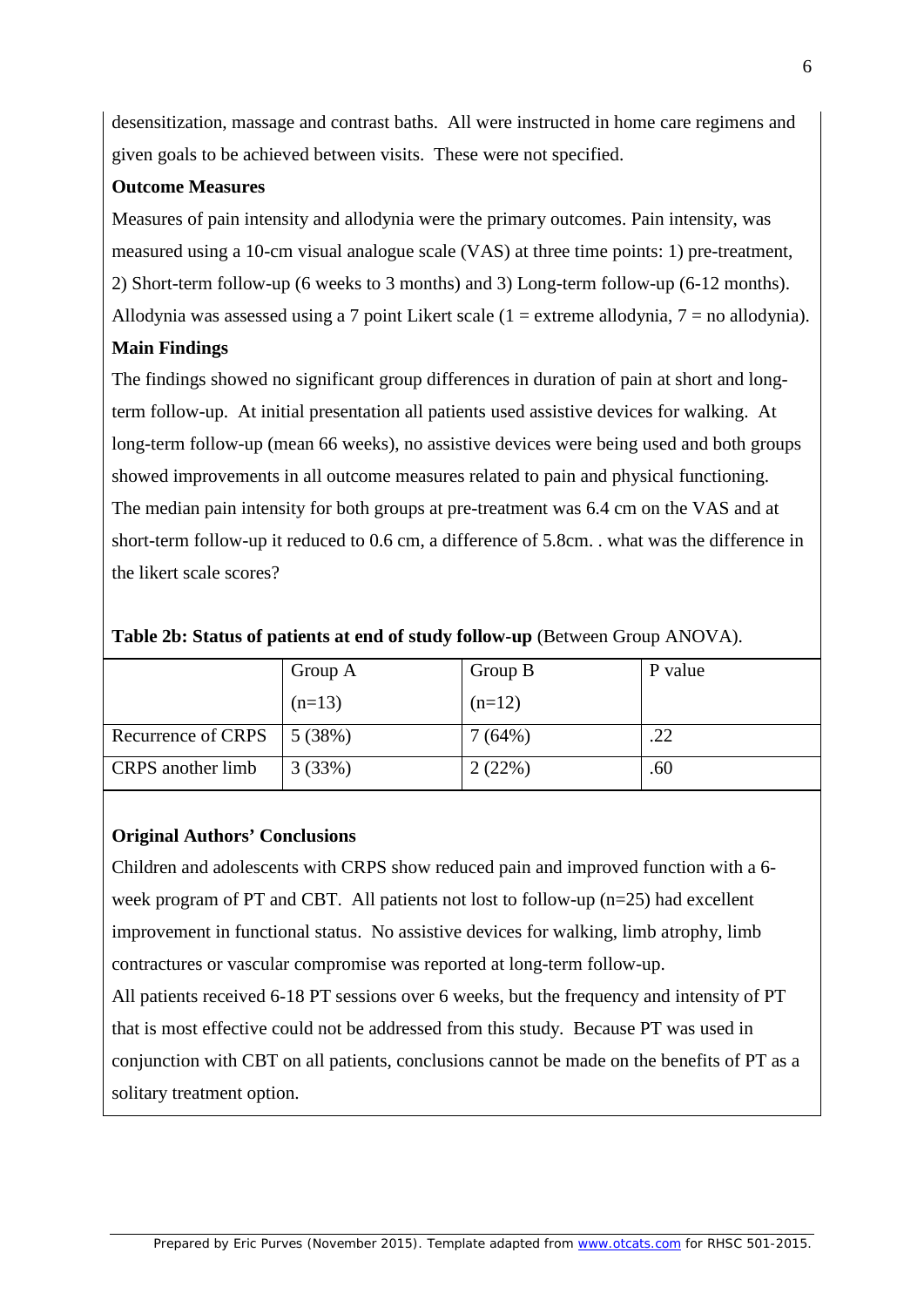desensitization, massage and contrast baths. All were instructed in home care regimens and given goals to be achieved between visits. These were not specified.

### **Outcome Measures**

Measures of pain intensity and allodynia were the primary outcomes. Pain intensity, was measured using a 10-cm visual analogue scale (VAS) at three time points: 1) pre-treatment, 2) Short-term follow-up (6 weeks to 3 months) and 3) Long-term follow-up (6-12 months). Allodynia was assessed using a 7 point Likert scale (1 = extreme allodynia, 7 = no allodynia).

# **Main Findings**

The findings showed no significant group differences in duration of pain at short and longterm follow-up. At initial presentation all patients used assistive devices for walking. At long-term follow-up (mean 66 weeks), no assistive devices were being used and both groups showed improvements in all outcome measures related to pain and physical functioning. The median pain intensity for both groups at pre-treatment was 6.4 cm on the VAS and at short-term follow-up it reduced to 0.6 cm, a difference of 5.8cm. . what was the difference in the likert scale scores?

|                    | Group A  | Group B  | P value |
|--------------------|----------|----------|---------|
|                    | $(n=13)$ | $(n=12)$ |         |
| Recurrence of CRPS | 15(38%)  | 7(64%)   | .22     |
| CRPS another limb  | 3(33%)   | 2(22%)   | .60     |

### **Table 2b: Status of patients at end of study follow-up** (Between Group ANOVA).

# **Original Authors' Conclusions**

Children and adolescents with CRPS show reduced pain and improved function with a 6 week program of PT and CBT. All patients not lost to follow-up (n=25) had excellent improvement in functional status. No assistive devices for walking, limb atrophy, limb contractures or vascular compromise was reported at long-term follow-up. All patients received 6-18 PT sessions over 6 weeks, but the frequency and intensity of PT that is most effective could not be addressed from this study. Because PT was used in conjunction with CBT on all patients, conclusions cannot be made on the benefits of PT as a solitary treatment option.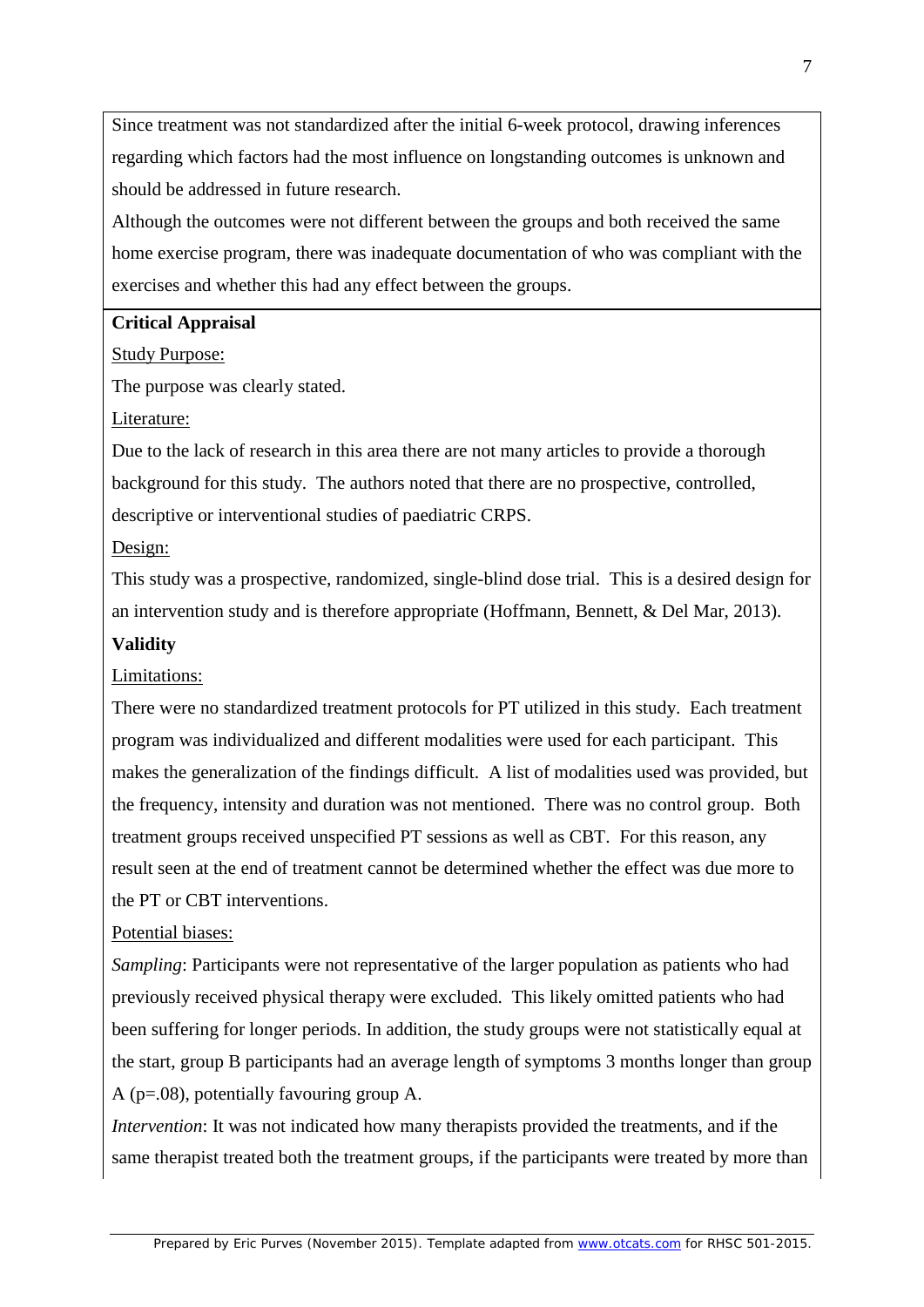Since treatment was not standardized after the initial 6-week protocol, drawing inferences regarding which factors had the most influence on longstanding outcomes is unknown and should be addressed in future research.

Although the outcomes were not different between the groups and both received the same home exercise program, there was inadequate documentation of who was compliant with the exercises and whether this had any effect between the groups.

### **Critical Appraisal**

Study Purpose:

The purpose was clearly stated.

Literature:

Due to the lack of research in this area there are not many articles to provide a thorough background for this study. The authors noted that there are no prospective, controlled, descriptive or interventional studies of paediatric CRPS.

#### Design:

This study was a prospective, randomized, single-blind dose trial. This is a desired design for an intervention study and is therefore appropriate (Hoffmann, Bennett, & Del Mar, 2013).

### **Validity**

#### Limitations:

There were no standardized treatment protocols for PT utilized in this study. Each treatment program was individualized and different modalities were used for each participant. This makes the generalization of the findings difficult. A list of modalities used was provided, but the frequency, intensity and duration was not mentioned. There was no control group. Both treatment groups received unspecified PT sessions as well as CBT. For this reason, any result seen at the end of treatment cannot be determined whether the effect was due more to the PT or CBT interventions.

#### Potential biases:

*Sampling*: Participants were not representative of the larger population as patients who had previously received physical therapy were excluded. This likely omitted patients who had been suffering for longer periods. In addition, the study groups were not statistically equal at the start, group B participants had an average length of symptoms 3 months longer than group A (p=.08), potentially favouring group A.

*Intervention*: It was not indicated how many therapists provided the treatments, and if the same therapist treated both the treatment groups, if the participants were treated by more than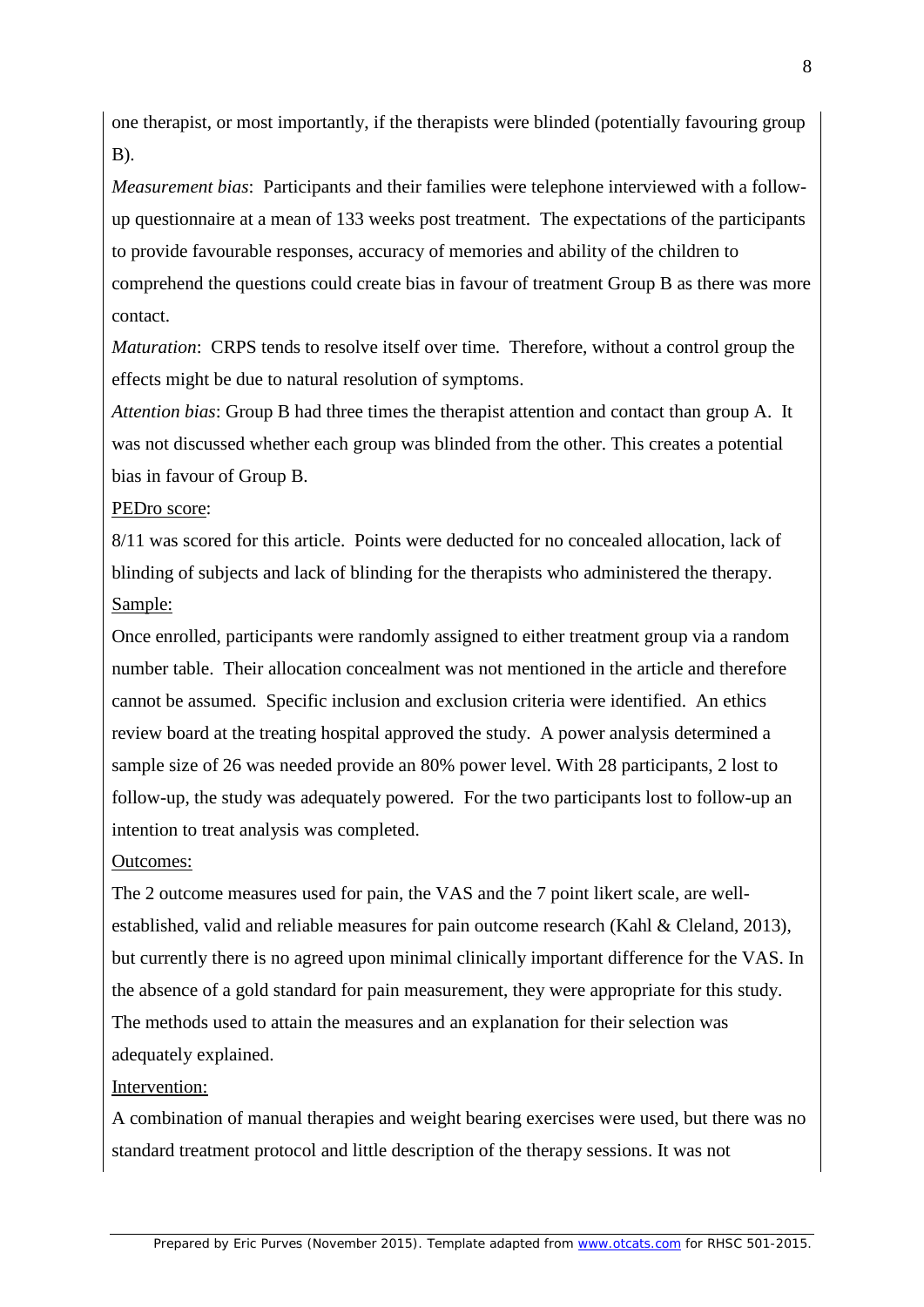one therapist, or most importantly, if the therapists were blinded (potentially favouring group B).

*Measurement bias*: Participants and their families were telephone interviewed with a followup questionnaire at a mean of 133 weeks post treatment. The expectations of the participants to provide favourable responses, accuracy of memories and ability of the children to comprehend the questions could create bias in favour of treatment Group B as there was more contact.

*Maturation*: CRPS tends to resolve itself over time. Therefore, without a control group the effects might be due to natural resolution of symptoms.

*Attention bias*: Group B had three times the therapist attention and contact than group A. It was not discussed whether each group was blinded from the other. This creates a potential bias in favour of Group B.

#### PEDro score:

8/11 was scored for this article. Points were deducted for no concealed allocation, lack of blinding of subjects and lack of blinding for the therapists who administered the therapy. Sample:

Once enrolled, participants were randomly assigned to either treatment group via a random number table. Their allocation concealment was not mentioned in the article and therefore cannot be assumed. Specific inclusion and exclusion criteria were identified. An ethics review board at the treating hospital approved the study. A power analysis determined a sample size of 26 was needed provide an 80% power level. With 28 participants, 2 lost to follow-up, the study was adequately powered. For the two participants lost to follow-up an intention to treat analysis was completed.

#### Outcomes:

The 2 outcome measures used for pain, the VAS and the 7 point likert scale, are wellestablished, valid and reliable measures for pain outcome research (Kahl & Cleland, 2013), but currently there is no agreed upon minimal clinically important difference for the VAS. In the absence of a gold standard for pain measurement, they were appropriate for this study. The methods used to attain the measures and an explanation for their selection was adequately explained.

#### Intervention:

A combination of manual therapies and weight bearing exercises were used, but there was no standard treatment protocol and little description of the therapy sessions. It was not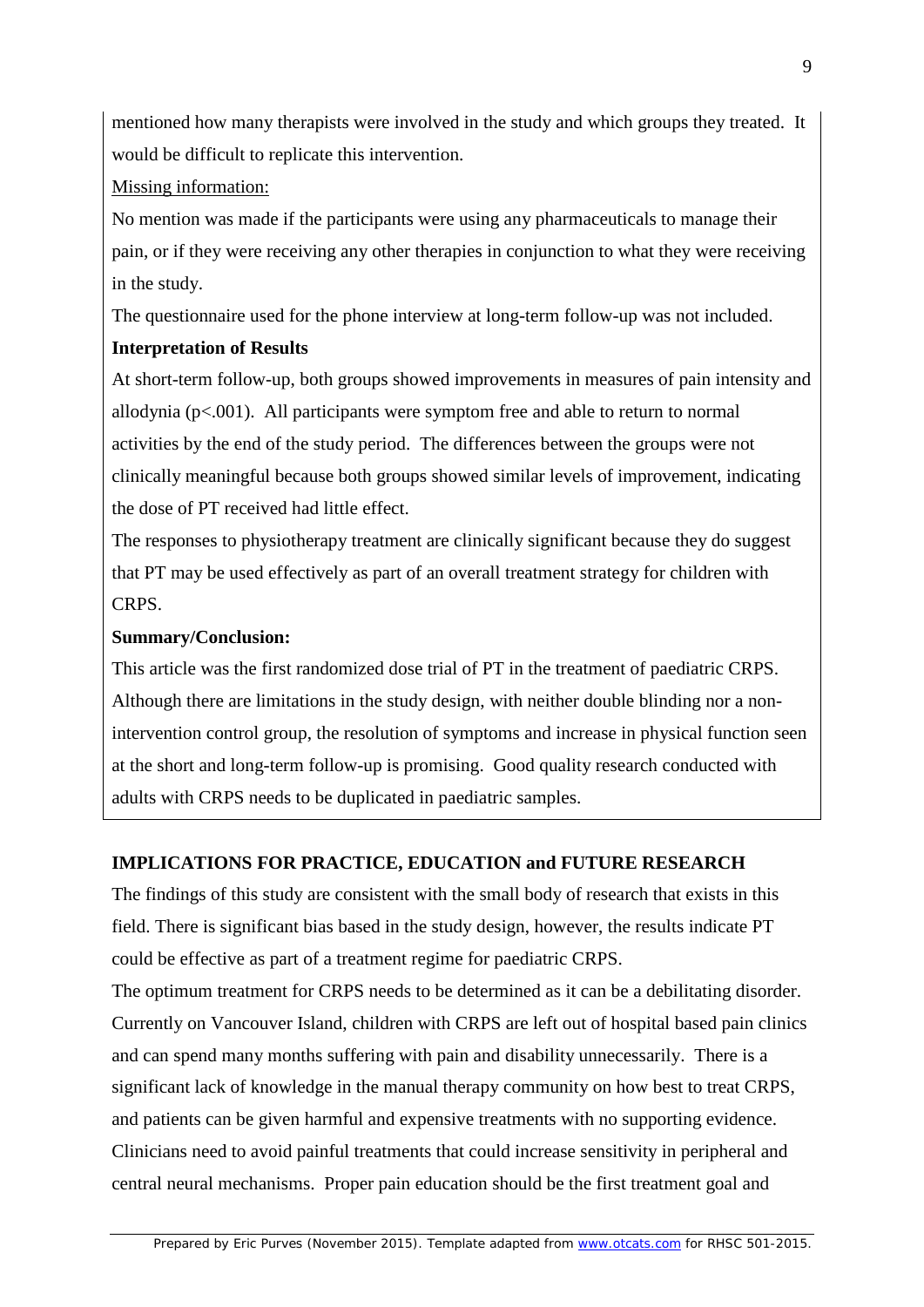mentioned how many therapists were involved in the study and which groups they treated. It would be difficult to replicate this intervention.

### Missing information:

No mention was made if the participants were using any pharmaceuticals to manage their pain, or if they were receiving any other therapies in conjunction to what they were receiving in the study.

The questionnaire used for the phone interview at long-term follow-up was not included.

# **Interpretation of Results**

At short-term follow-up, both groups showed improvements in measures of pain intensity and allodynia ( $p<.001$ ). All participants were symptom free and able to return to normal activities by the end of the study period. The differences between the groups were not clinically meaningful because both groups showed similar levels of improvement, indicating the dose of PT received had little effect.

The responses to physiotherapy treatment are clinically significant because they do suggest that PT may be used effectively as part of an overall treatment strategy for children with CRPS.

# **Summary/Conclusion:**

This article was the first randomized dose trial of PT in the treatment of paediatric CRPS. Although there are limitations in the study design, with neither double blinding nor a nonintervention control group, the resolution of symptoms and increase in physical function seen at the short and long-term follow-up is promising. Good quality research conducted with adults with CRPS needs to be duplicated in paediatric samples.

# **IMPLICATIONS FOR PRACTICE, EDUCATION and FUTURE RESEARCH**

The findings of this study are consistent with the small body of research that exists in this field. There is significant bias based in the study design, however, the results indicate PT could be effective as part of a treatment regime for paediatric CRPS.

The optimum treatment for CRPS needs to be determined as it can be a debilitating disorder. Currently on Vancouver Island, children with CRPS are left out of hospital based pain clinics and can spend many months suffering with pain and disability unnecessarily. There is a significant lack of knowledge in the manual therapy community on how best to treat CRPS, and patients can be given harmful and expensive treatments with no supporting evidence. Clinicians need to avoid painful treatments that could increase sensitivity in peripheral and central neural mechanisms. Proper pain education should be the first treatment goal and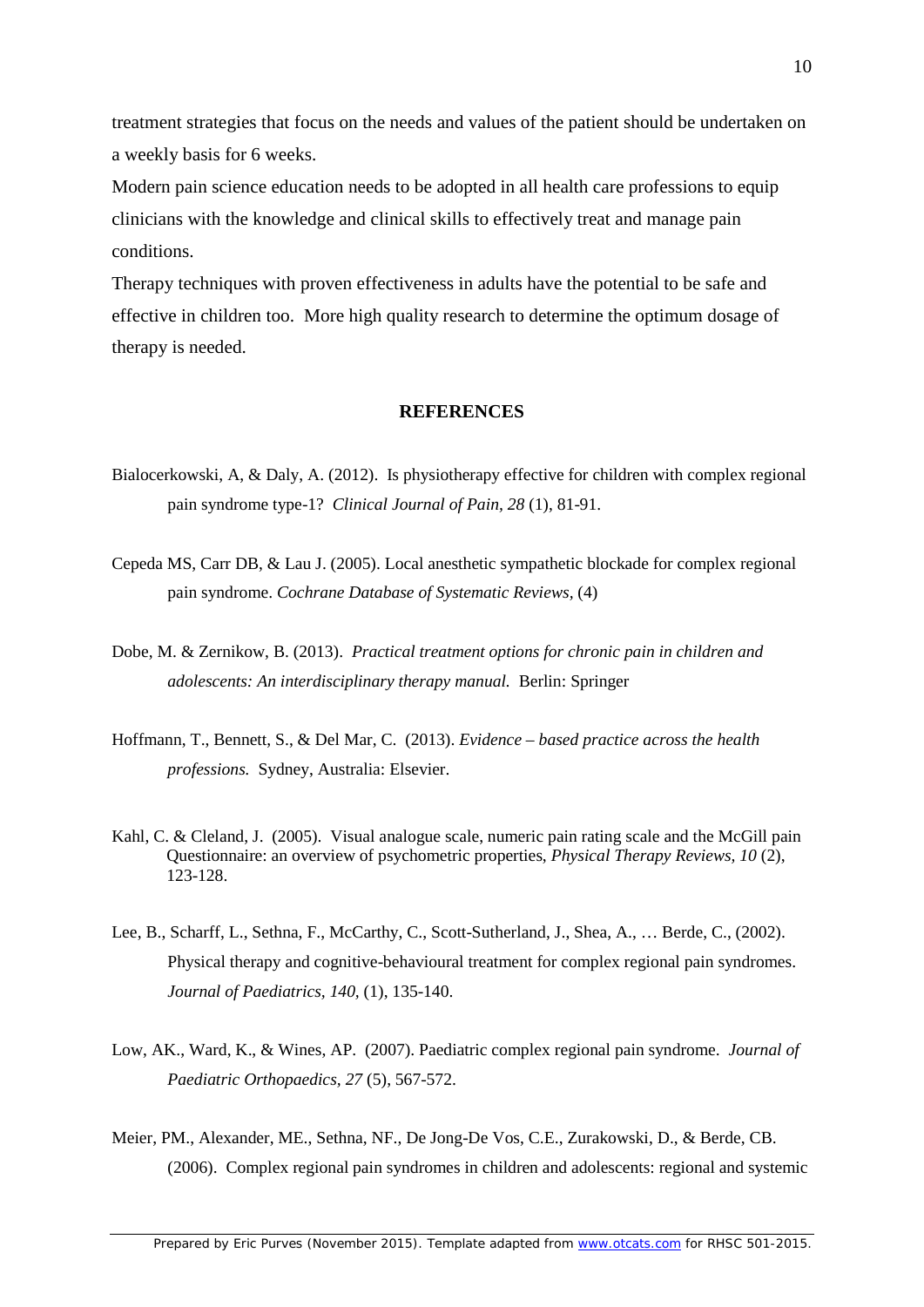treatment strategies that focus on the needs and values of the patient should be undertaken on a weekly basis for 6 weeks.

Modern pain science education needs to be adopted in all health care professions to equip clinicians with the knowledge and clinical skills to effectively treat and manage pain conditions.

Therapy techniques with proven effectiveness in adults have the potential to be safe and effective in children too. More high quality research to determine the optimum dosage of therapy is needed.

#### **REFERENCES**

- Bialocerkowski, A, & Daly, A. (2012). Is physiotherapy effective for children with complex regional pain syndrome type-1? *Clinical Journal of Pain, 28* (1), 81-91.
- Cepeda MS, Carr DB, & Lau J. (2005). Local anesthetic sympathetic blockade for complex regional pain syndrome. *Cochrane Database of Systematic Reviews,* (4)
- Dobe, M. & Zernikow, B. (2013). *Practical treatment options for chronic pain in children and adolescents: An interdisciplinary therapy manual.* Berlin: Springer
- Hoffmann, T., Bennett, S., & Del Mar, C. (2013). *Evidence – based practice across the health professions.* Sydney, Australia: Elsevier.
- Kahl, C. & Cleland, J. (2005). Visual analogue scale, numeric pain rating scale and the McGill pain Questionnaire: an overview of psychometric properties, *Physical Therapy Reviews, 10* (2), 123-128.
- Lee, B., Scharff, L., Sethna, F., McCarthy, C., Scott-Sutherland, J., Shea, A., … Berde, C., (2002). Physical therapy and cognitive-behavioural treatment for complex regional pain syndromes. *Journal of Paediatrics, 140,* (1), 135-140.
- Low, AK., Ward, K., & Wines, AP. (2007). Paediatric complex regional pain syndrome. *Journal of Paediatric Orthopaedics, 27* (5), 567-572.
- Meier, PM., Alexander, ME., Sethna, NF., De Jong-De Vos, C.E., Zurakowski, D., & Berde, CB. (2006). Complex regional pain syndromes in children and adolescents: regional and systemic